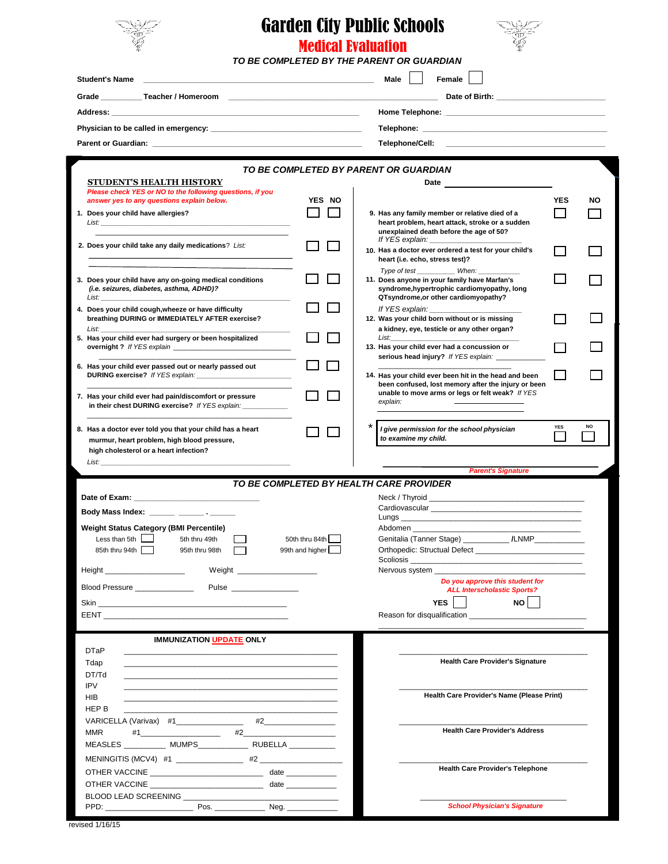

## Garden City Public Schools Medical Evaluation



*TO BE COMPLETED BY THE PARENT OR GUARDIAN*

| <b>Student's Name</b><br>the control of the control of the control of the control of the control of the control of                                                                                                                   |                 | Female<br>Male                                                                                                                                                                                                                                                                |    |
|--------------------------------------------------------------------------------------------------------------------------------------------------------------------------------------------------------------------------------------|-----------------|-------------------------------------------------------------------------------------------------------------------------------------------------------------------------------------------------------------------------------------------------------------------------------|----|
|                                                                                                                                                                                                                                      |                 |                                                                                                                                                                                                                                                                               |    |
|                                                                                                                                                                                                                                      |                 |                                                                                                                                                                                                                                                                               |    |
|                                                                                                                                                                                                                                      |                 |                                                                                                                                                                                                                                                                               |    |
|                                                                                                                                                                                                                                      |                 | Telephone/Cell:                                                                                                                                                                                                                                                               |    |
|                                                                                                                                                                                                                                      |                 |                                                                                                                                                                                                                                                                               |    |
|                                                                                                                                                                                                                                      |                 | TO BE COMPLETED BY PARENT OR GUARDIAN                                                                                                                                                                                                                                         |    |
| <b>STUDENT'S HEALTH HISTORY</b>                                                                                                                                                                                                      |                 | Date and the contract of the contract of the contract of the contract of the contract of the contract of the contract of the contract of the contract of the contract of the contract of the contract of the contract of the c                                                |    |
| Please check YES or NO to the following questions, if you<br>answer yes to any questions explain below.                                                                                                                              | YES NO          | <b>YES</b>                                                                                                                                                                                                                                                                    | NO |
| 1. Does your child have allergies?                                                                                                                                                                                                   |                 | 9. Has any family member or relative died of a                                                                                                                                                                                                                                |    |
|                                                                                                                                                                                                                                      |                 | heart problem, heart attack, stroke or a sudden                                                                                                                                                                                                                               |    |
|                                                                                                                                                                                                                                      |                 | unexplained death before the age of 50?                                                                                                                                                                                                                                       |    |
| 2. Does your child take any daily medications? List:                                                                                                                                                                                 |                 | 10. Has a doctor ever ordered a test for your child's                                                                                                                                                                                                                         |    |
|                                                                                                                                                                                                                                      |                 | heart (i.e. echo, stress test)?<br>Type of test ____________ When:                                                                                                                                                                                                            |    |
| 3. Does your child have any on-going medical conditions                                                                                                                                                                              |                 | 11. Does anyone in your family have Marfan's                                                                                                                                                                                                                                  |    |
| (i.e. seizures, diabetes, asthma, ADHD)?<br>List:                                                                                                                                                                                    |                 | syndrome, hypertrophic cardiomyopathy, long<br>QTsyndrome, or other cardiomyopathy?                                                                                                                                                                                           |    |
| 4. Does your child cough, wheeze or have difficulty                                                                                                                                                                                  |                 | If YES explain:                                                                                                                                                                                                                                                               |    |
| breathing DURING or IMMEDIATELY AFTER exercise?                                                                                                                                                                                      |                 | 12. Was your child born without or is missing                                                                                                                                                                                                                                 |    |
| List:<br>5. Has your child ever had surgery or been hospitalized                                                                                                                                                                     |                 | a kidney, eye, testicle or any other organ?<br>List: the contract of the contract of the contract of the contract of the contract of the contract of the contract of the contract of the contract of the contract of the contract of the contract of the contract of the cont |    |
|                                                                                                                                                                                                                                      |                 | 13. Has your child ever had a concussion or                                                                                                                                                                                                                                   |    |
| 6. Has your child ever passed out or nearly passed out                                                                                                                                                                               |                 | serious head injury? If YES explain: __                                                                                                                                                                                                                                       |    |
|                                                                                                                                                                                                                                      |                 | 14. Has your child ever been hit in the head and been                                                                                                                                                                                                                         |    |
|                                                                                                                                                                                                                                      |                 | been confused, lost memory after the injury or been<br>unable to move arms or legs or felt weak? If YES                                                                                                                                                                       |    |
| 7. Has your child ever had pain/discomfort or pressure<br>in their chest DURING exercise? If YES explain: _____________                                                                                                              |                 | explain:                                                                                                                                                                                                                                                                      |    |
|                                                                                                                                                                                                                                      |                 |                                                                                                                                                                                                                                                                               |    |
| 8. Has a doctor ever told you that your child has a heart                                                                                                                                                                            |                 | <b>YES</b><br>NO<br>I give permission for the school physician                                                                                                                                                                                                                |    |
| murmur, heart problem, high blood pressure,<br>high cholesterol or a heart infection?                                                                                                                                                |                 | to examine my child.                                                                                                                                                                                                                                                          |    |
| List:                                                                                                                                                                                                                                |                 |                                                                                                                                                                                                                                                                               |    |
|                                                                                                                                                                                                                                      |                 | <b>Parent's Signature</b>                                                                                                                                                                                                                                                     |    |
|                                                                                                                                                                                                                                      |                 | TO BE COMPLETED BY HEALTH CARE PROVIDER                                                                                                                                                                                                                                       |    |
|                                                                                                                                                                                                                                      |                 |                                                                                                                                                                                                                                                                               |    |
| Body Mass Index: ______ _______ . _______                                                                                                                                                                                            |                 |                                                                                                                                                                                                                                                                               |    |
| <b>Weight Status Category (BMI Percentile)</b>                                                                                                                                                                                       |                 | Abdomen _______________                                                                                                                                                                                                                                                       |    |
| Less than $5th$<br>5th thru 49th                                                                                                                                                                                                     | 50th thru 84th  | Genitalia (Tanner Stage) _____________ /LNMP_____________                                                                                                                                                                                                                     |    |
| 85th thru 94th<br>95th thru 98th                                                                                                                                                                                                     | 99th and higher | Orthopedic: Structual Defect<br>Scoliosis __                                                                                                                                                                                                                                  |    |
| Height _____________________<br>Weight _______________________                                                                                                                                                                       |                 | Nervous system                                                                                                                                                                                                                                                                |    |
| Blood Pressure<br>Pulse _________________                                                                                                                                                                                            |                 | Do you approve this student for                                                                                                                                                                                                                                               |    |
| Skin <b>Sking the School School Sking the School School School School School School School School School School School School School School School School School School School School School School School School School School </b> |                 | <b>ALL Interscholastic Sports?</b><br>YES  <br>$NO$                                                                                                                                                                                                                           |    |
|                                                                                                                                                                                                                                      |                 |                                                                                                                                                                                                                                                                               |    |
|                                                                                                                                                                                                                                      |                 |                                                                                                                                                                                                                                                                               |    |
| <b>IMMUNIZATION UPDATE ONLY</b>                                                                                                                                                                                                      |                 |                                                                                                                                                                                                                                                                               |    |
| <b>DTaP</b>                                                                                                                                                                                                                          |                 |                                                                                                                                                                                                                                                                               |    |
| Tdap                                                                                                                                                                                                                                 |                 | <b>Health Care Provider's Signature</b>                                                                                                                                                                                                                                       |    |
| DT/Td<br><b>IPV</b>                                                                                                                                                                                                                  |                 |                                                                                                                                                                                                                                                                               |    |
| HIB                                                                                                                                                                                                                                  |                 | Health Care Provider's Name (Please Print)                                                                                                                                                                                                                                    |    |
| HEP B                                                                                                                                                                                                                                |                 |                                                                                                                                                                                                                                                                               |    |
| VARICELLA (Varivax) #1 ________________ #2 _______________                                                                                                                                                                           |                 |                                                                                                                                                                                                                                                                               |    |
| <b>MMR</b>                                                                                                                                                                                                                           |                 | <b>Health Care Provider's Address</b>                                                                                                                                                                                                                                         |    |
| MEASLES ____________ MUMPS________________ RUBELLA ____________                                                                                                                                                                      |                 |                                                                                                                                                                                                                                                                               |    |
|                                                                                                                                                                                                                                      |                 |                                                                                                                                                                                                                                                                               |    |
|                                                                                                                                                                                                                                      |                 |                                                                                                                                                                                                                                                                               |    |
|                                                                                                                                                                                                                                      |                 | <b>Health Care Provider's Telephone</b>                                                                                                                                                                                                                                       |    |
| OTHER VACCINE ___________________________________ date ______________                                                                                                                                                                |                 |                                                                                                                                                                                                                                                                               |    |